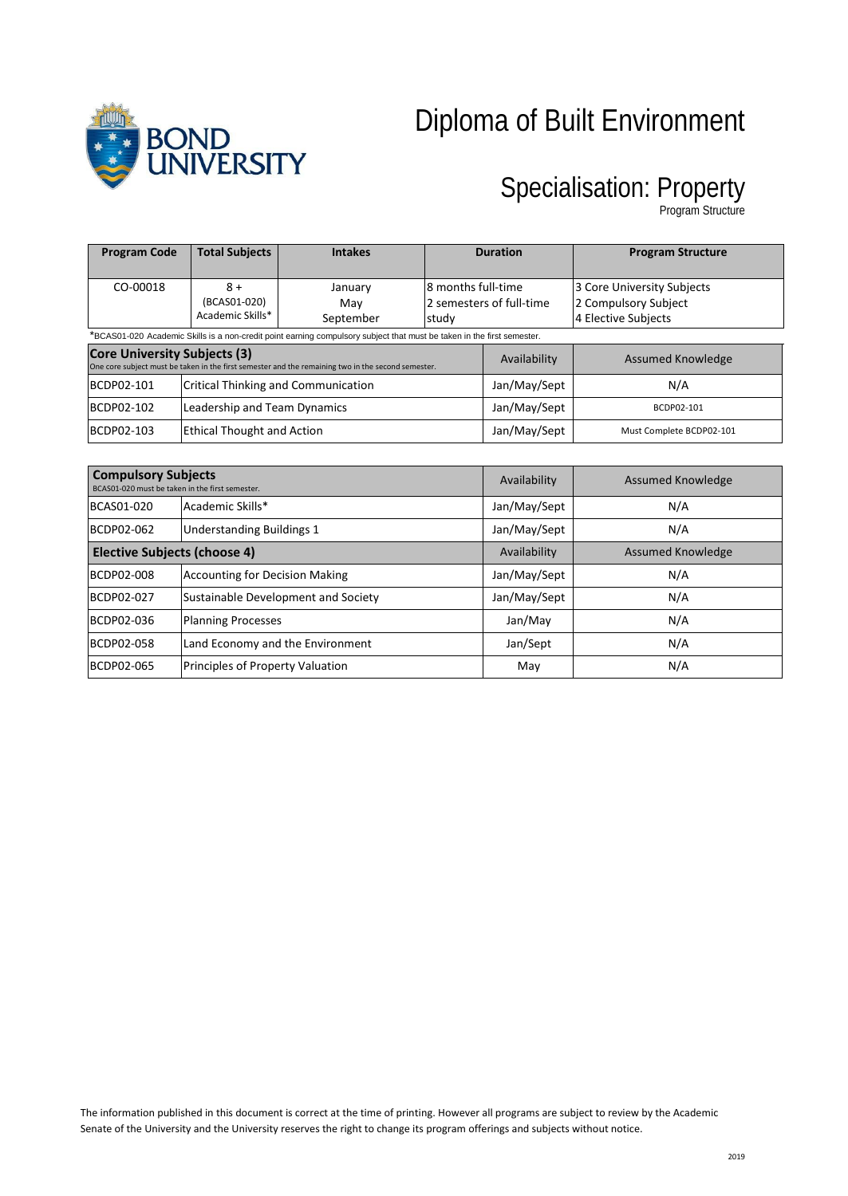

# Diploma of Built Environment

## Specialisation: Property

Program Structure

| <b>Program Code</b>                                                                                                                       | <b>Total Subjects</b>                      | <b>Intakes</b>              | <b>Duration</b>                                         |                          | <b>Program Structure</b>                                                  |
|-------------------------------------------------------------------------------------------------------------------------------------------|--------------------------------------------|-----------------------------|---------------------------------------------------------|--------------------------|---------------------------------------------------------------------------|
| CO-00018                                                                                                                                  | $8+$<br>(BCAS01-020)<br>Academic Skills*   | January<br>Mav<br>September | 8 months full-time<br>2 semesters of full-time<br>study |                          | 3 Core University Subjects<br>2 Compulsory Subject<br>4 Elective Subjects |
| *BCAS01-020 Academic Skills is a non-credit point earning compulsory subject that must be taken in the first semester.                    |                                            |                             |                                                         |                          |                                                                           |
| <b>Core University Subjects (3)</b><br>One core subject must be taken in the first semester and the remaining two in the second semester. |                                            |                             |                                                         | Availability             | Assumed Knowledge                                                         |
| BCDP02-101                                                                                                                                | <b>Critical Thinking and Communication</b> |                             |                                                         | Jan/May/Sept             | N/A                                                                       |
| BCDP02-102                                                                                                                                | Leadership and Team Dynamics               |                             |                                                         | Jan/May/Sept             | BCDP02-101                                                                |
| BCDP02-103                                                                                                                                | <b>Ethical Thought and Action</b>          |                             | Jan/May/Sept                                            | Must Complete BCDP02-101 |                                                                           |

| <b>Compulsory Subjects</b><br>BCAS01-020 must be taken in the first semester. |                                       | Availability | Assumed Knowledge        |
|-------------------------------------------------------------------------------|---------------------------------------|--------------|--------------------------|
| BCAS01-020                                                                    | Academic Skills*                      | Jan/May/Sept | N/A                      |
| BCDP02-062                                                                    | <b>Understanding Buildings 1</b>      | Jan/May/Sept | N/A                      |
| <b>Elective Subjects (choose 4)</b>                                           |                                       | Availability | <b>Assumed Knowledge</b> |
| BCDP02-008                                                                    | <b>Accounting for Decision Making</b> | Jan/May/Sept | N/A                      |
| BCDP02-027                                                                    | Sustainable Development and Society   | Jan/May/Sept | N/A                      |
| BCDP02-036                                                                    | <b>Planning Processes</b>             | Jan/May      | N/A                      |
| BCDP02-058                                                                    | Land Economy and the Environment      | Jan/Sept     | N/A                      |
| BCDP02-065                                                                    | Principles of Property Valuation      | May          | N/A                      |

The information published in this document is correct at the time of printing. However all programs are subject to review by the Academic Senate of the University and the University reserves the right to change its program offerings and subjects without notice.